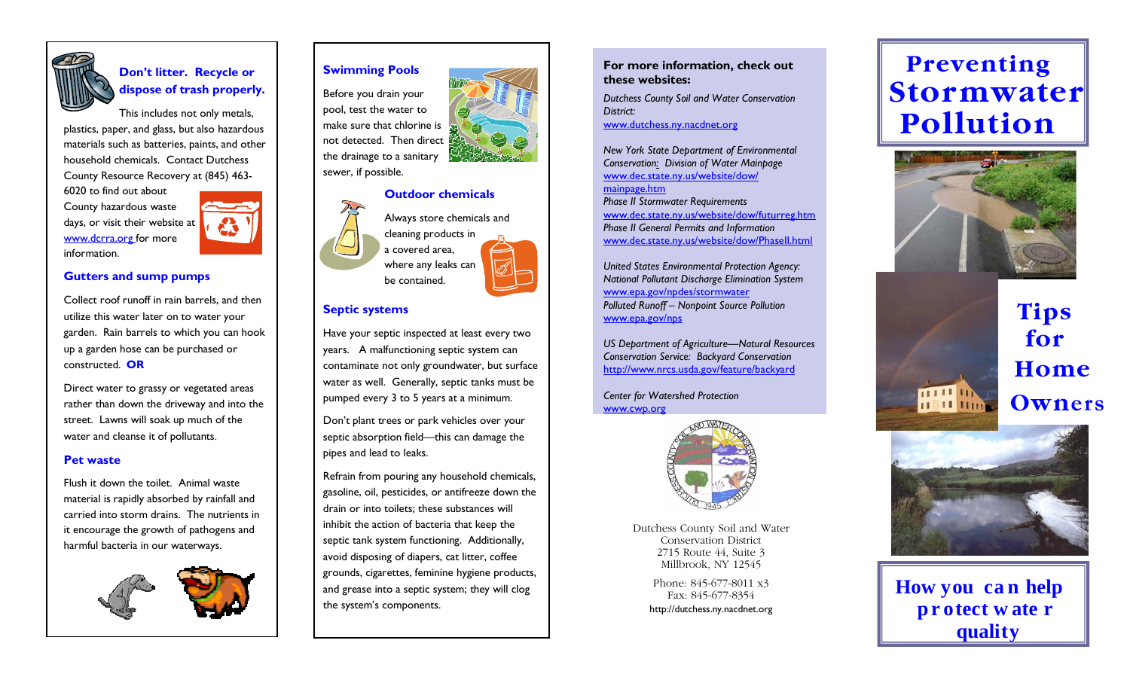

## **Donít litter. Recycle or dispose of trash properly.**

This includes not only metals, plastics, paper, and glass, but also hazardous materials such as batteries, paints, and other household chemicals. Contact Dutchess County Resource Recovery at (845) 463-

6020 to find out about County hazardous waste days, or visit their website at www.dcrra.org for more information.



## **Gutters and sump pumps**

Collect roof runoff in rain barrels, and then utilize this water later on to water your garden. Rain barrels to which you can hook up a garden hose can be purchased or constructed. **OR**

Direct water to grassy or vegetated areas rather than down the driveway and into the street. Lawns will soak up much of the water and cleanse it of pollutants.

#### **Pet waste**

Flush it down the toilet. Animal waste material is rapidly absorbed by rainfall and carried into storm drains. The nutrients in it encourage the growth of pathogens and harmful bacteria in our waterways.



# **Swimming Pools**

Before you drain your pool, test the water to make sure that chlorine is not detected. Then direct the drainage to a sanitary



## **Septic systems**

Have your septic inspected at least every two years. A malfunctioning septic system can contaminate not only groundwater, but surface water as well. Generally, septic tanks must be pumped every 3 to 5 years at a minimum.

Donít plant trees or park vehicles over your septic absorption field—this can damage the pipes and lead to leaks.

Refrain from pouring any household chemicals, gasoline, oil, pesticides, or antifreeze down the drain or into toilets; these substances will inhibit the action of bacteria that keep the septic tank system functioning. Additionally, avoid disposing of diapers, cat litter, coffee grounds, cigarettes, feminine hygiene products, and grease into a septic system; they will clog the system's components.

## **For more information, check out these websites:**

*Dutchess County Soil and Water Conservation District:* www.dutchess.ny.nacdnet.org

*New York State Department of Environmental Conservation: Division of Water Mainpage*  www.dec.state.ny.us/website/dow/

mainpage.htm *Phase II Stormwater Requirements*  www.dec.state.ny.us/website/dow/futurreg.htm *Phase II General Permits and Information*  www.dec.state.ny.us/website/dow/PhaseII.html

*United States Environmental Protection Agency: National Pollutant Discharge Elimination System*  www.epa.gov/npdes/stormwater *Polluted Runoff - Nonpoint Source Pollution* www.epa.gov/nps

US Department of Agriculture–Natural Resources *Conservation Service: Backyard Conservation*  http://www.nrcs.usda.gov/feature/backyard

*Center for Watershed Protection*  www.cwp.org



Dutchess County Soil and Water Conservation District 2715 Route 44, Suite 3 Millbrook, NY 12545

> Phone: 845-677-8011 x3 Fax: 845-677-8354 http://dutchess.ny.nacdnet.org

# **Preventing Stormwate r Pollution**



# **Tips for Home Owners**



111111 **HTH HILE** 

**How you c a n help p r otect w ate r diam k**